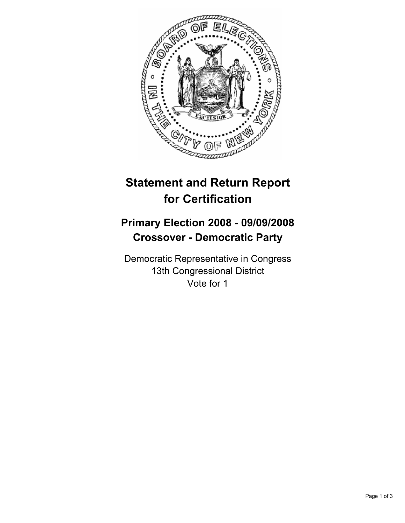

# **Statement and Return Report for Certification**

## **Primary Election 2008 - 09/09/2008 Crossover - Democratic Party**

Democratic Representative in Congress 13th Congressional District Vote for 1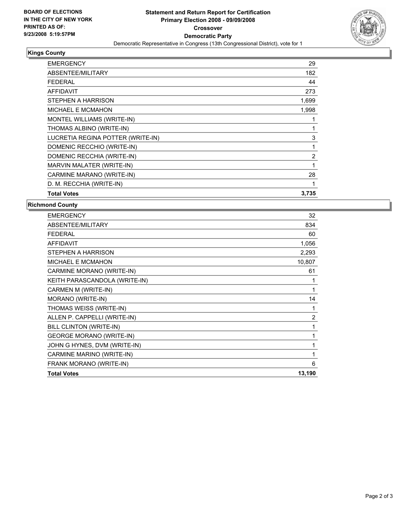

### **Kings County**

| <b>EMERGENCY</b>                  | 29    |
|-----------------------------------|-------|
| ABSENTEE/MILITARY                 | 182   |
| FEDERAL                           | 44    |
| <b>AFFIDAVIT</b>                  | 273   |
| STEPHEN A HARRISON                | 1,699 |
| <b>MICHAEL E MCMAHON</b>          | 1,998 |
| MONTEL WILLIAMS (WRITE-IN)        |       |
| THOMAS ALBINO (WRITE-IN)          |       |
| LUCRETIA REGINA POTTER (WRITE-IN) | 3     |
| DOMENIC RECCHIO (WRITE-IN)        |       |
| DOMENIC RECCHIA (WRITE-IN)        | 2     |
| MARVIN MALATER (WRITE-IN)         |       |
| CARMINE MARANO (WRITE-IN)         | 28    |
| D. M. RECCHIA (WRITE-IN)          |       |
| <b>Total Votes</b>                | 3,735 |

### **Richmond County**

| <b>Total Votes</b>              | 13,190         |
|---------------------------------|----------------|
| FRANK MORANO (WRITE-IN)         | 6              |
| CARMINE MARINO (WRITE-IN)       |                |
| JOHN G HYNES, DVM (WRITE-IN)    |                |
| <b>GEORGE MORANO (WRITE-IN)</b> |                |
| BILL CLINTON (WRITE-IN)         |                |
| ALLEN P. CAPPELLI (WRITE-IN)    | $\overline{2}$ |
| THOMAS WEISS (WRITE-IN)         | 1              |
| MORANO (WRITE-IN)               | 14             |
| CARMEN M (WRITE-IN)             |                |
| KEITH PARASCANDOLA (WRITE-IN)   |                |
| CARMINE MORANO (WRITE-IN)       | 61             |
| <b>MICHAEL E MCMAHON</b>        | 10,807         |
| STEPHEN A HARRISON              | 2,293          |
| <b>AFFIDAVIT</b>                | 1,056          |
| <b>FEDERAL</b>                  | 60             |
| ABSENTEE/MILITARY               | 834            |
| <b>EMERGENCY</b>                | 32             |